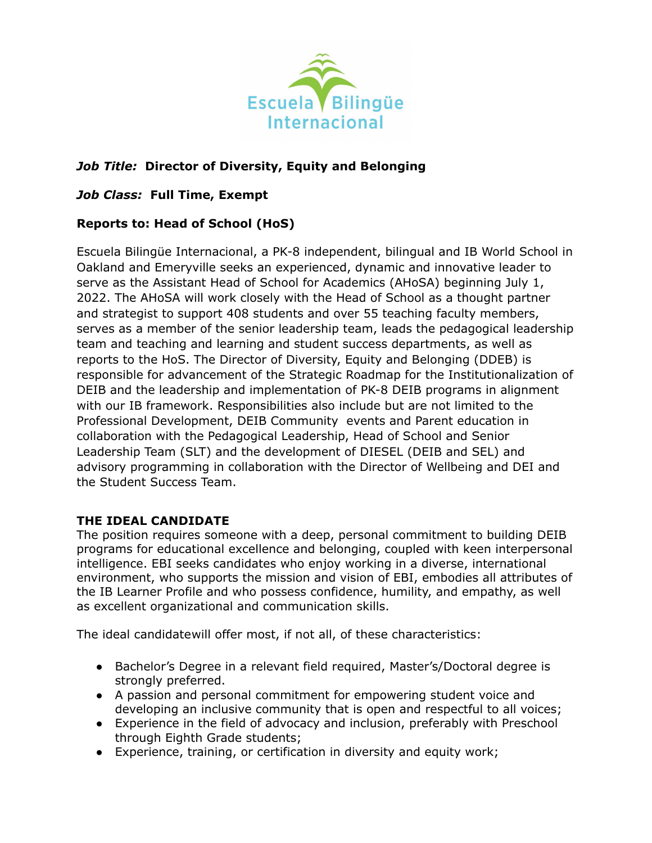

# *Job Title:* **Director of Diversity, Equity and Belonging**

### *Job Class:* **Full Time, Exempt**

## **Reports to: Head of School (HoS)**

Escuela Bilingüe Internacional, a PK-8 independent, bilingual and IB World School in Oakland and Emeryville seeks an experienced, dynamic and innovative leader to serve as the Assistant Head of School for Academics (AHoSA) beginning July 1, 2022. The AHoSA will work closely with the Head of School as a thought partner and strategist to support 408 students and over 55 teaching faculty members, serves as a member of the senior leadership team, leads the pedagogical leadership team and teaching and learning and student success departments, as well as reports to the HoS. The Director of Diversity, Equity and Belonging (DDEB) is responsible for advancement of the Strategic Roadmap for the Institutionalization of DEIB and the leadership and implementation of PK-8 DEIB programs in alignment with our IB framework. Responsibilities also include but are not limited to the Professional Development, DEIB Community events and Parent education in collaboration with the Pedagogical Leadership, Head of School and Senior Leadership Team (SLT) and the development of DIESEL (DEIB and SEL) and advisory programming in collaboration with the Director of Wellbeing and DEI and the Student Success Team.

#### **THE IDEAL CANDIDATE**

The position requires someone with a deep, personal commitment to building DEIB programs for educational excellence and belonging, coupled with keen interpersonal intelligence. EBI seeks candidates who enjoy working in a diverse, international environment, who supports the mission and vision of EBI, embodies all attributes of the IB Learner Profile and who possess confidence, humility, and empathy, as well as excellent organizational and communication skills.

The ideal candidatewill offer most, if not all, of these characteristics:

- Bachelor's Degree in a relevant field required, Master's/Doctoral degree is strongly preferred.
- A passion and personal commitment for empowering student voice and developing an inclusive community that is open and respectful to all voices;
- Experience in the field of advocacy and inclusion, preferably with Preschool through Eighth Grade students;
- Experience, training, or certification in diversity and equity work;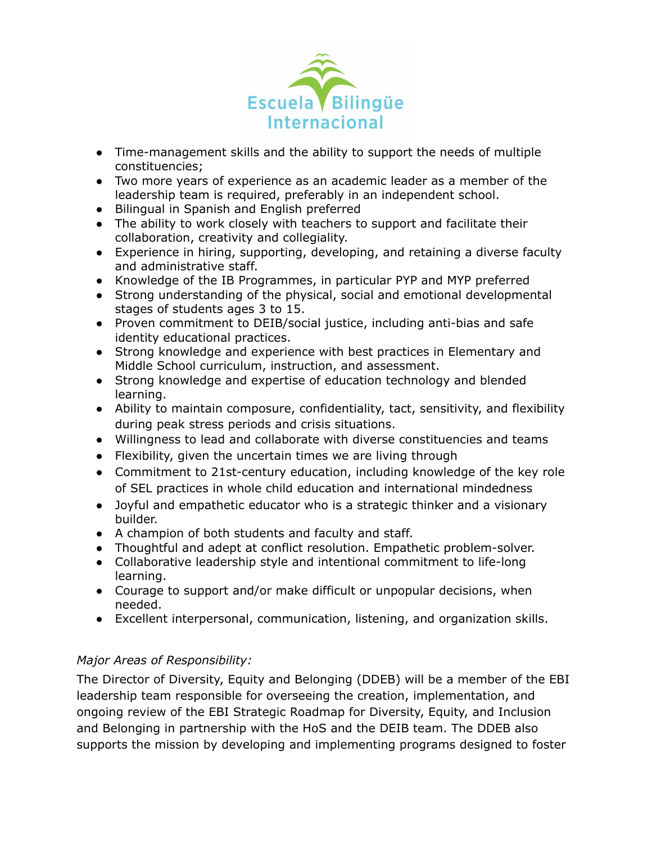

- Time-management skills and the ability to support the needs of multiple constituencies;
- Two more years of experience as an academic leader as a member of the leadership team is required, preferably in an independent school.
- Bilingual in Spanish and English preferred
- The ability to work closely with teachers to support and facilitate their collaboration, creativity and collegiality.
- Experience in hiring, supporting, developing, and retaining a diverse faculty and administrative staff.
- Knowledge of the IB Programmes, in particular PYP and MYP preferred
- Strong understanding of the physical, social and emotional developmental stages of students ages 3 to 15.
- Proven commitment to DEIB/social justice, including anti-bias and safe identity educational practices.
- Strong knowledge and experience with best practices in Elementary and Middle School curriculum, instruction, and assessment.
- Strong knowledge and expertise of education technology and blended learning.
- Ability to maintain composure, confidentiality, tact, sensitivity, and flexibility during peak stress periods and crisis situations.
- Willingness to lead and collaborate with diverse constituencies and teams
- Flexibility, given the uncertain times we are living through
- Commitment to 21st-century education, including knowledge of the key role of SEL practices in whole child education and international mindedness
- Joyful and empathetic educator who is a strategic thinker and a visionary builder.
- A champion of both students and faculty and staff.
- Thoughtful and adept at conflict resolution. Empathetic problem-solver.
- Collaborative leadership style and intentional commitment to life-long learning.
- Courage to support and/or make difficult or unpopular decisions, when needed.
- Excellent interpersonal, communication, listening, and organization skills.

## *Major Areas of Responsibility:*

The Director of Diversity, Equity and Belonging (DDEB) will be a member of the EBI leadership team responsible for overseeing the creation, implementation, and ongoing review of the EBI Strategic Roadmap for Diversity, Equity, and Inclusion and Belonging in partnership with the HoS and the DEIB team. The DDEB also supports the mission by developing and implementing programs designed to foster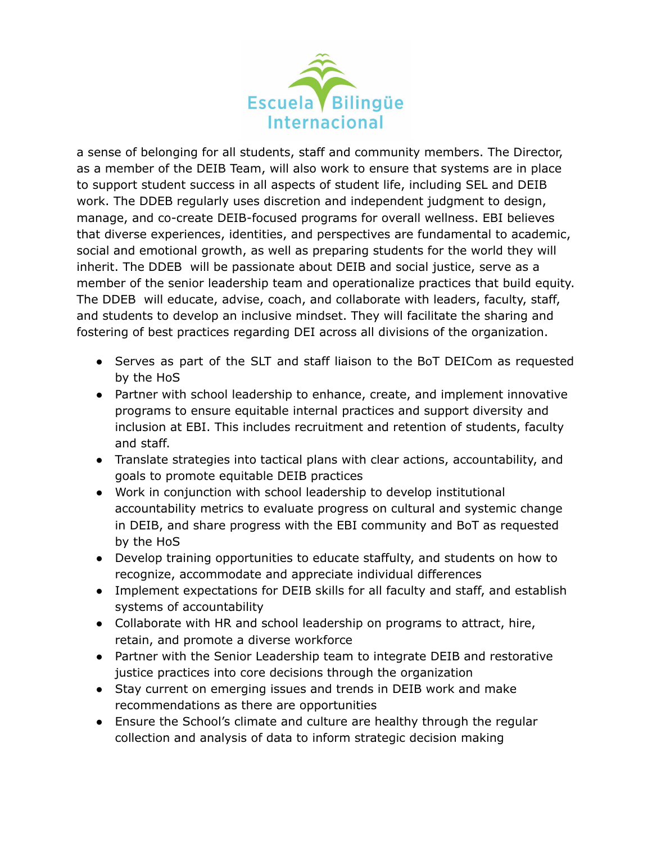

a sense of belonging for all students, staff and community members. The Director, as a member of the DEIB Team, will also work to ensure that systems are in place to support student success in all aspects of student life, including SEL and DEIB work. The DDEB regularly uses discretion and independent judgment to design, manage, and co-create DEIB-focused programs for overall wellness. EBI believes that diverse experiences, identities, and perspectives are fundamental to academic, social and emotional growth, as well as preparing students for the world they will inherit. The DDEB will be passionate about DEIB and social justice, serve as a member of the senior leadership team and operationalize practices that build equity. The DDEB will educate, advise, coach, and collaborate with leaders, faculty, staff, and students to develop an inclusive mindset. They will facilitate the sharing and fostering of best practices regarding DEI across all divisions of the organization.

- Serves as part of the SLT and staff liaison to the BoT DEICom as requested by the HoS
- Partner with school leadership to enhance, create, and implement innovative programs to ensure equitable internal practices and support diversity and inclusion at EBI. This includes recruitment and retention of students, faculty and staff.
- Translate strategies into tactical plans with clear actions, accountability, and goals to promote equitable DEIB practices
- Work in conjunction with school leadership to develop institutional accountability metrics to evaluate progress on cultural and systemic change in DEIB, and share progress with the EBI community and BoT as requested by the HoS
- Develop training opportunities to educate staffulty, and students on how to recognize, accommodate and appreciate individual differences
- Implement expectations for DEIB skills for all faculty and staff, and establish systems of accountability
- Collaborate with HR and school leadership on programs to attract, hire, retain, and promote a diverse workforce
- Partner with the Senior Leadership team to integrate DEIB and restorative justice practices into core decisions through the organization
- Stay current on emerging issues and trends in DEIB work and make recommendations as there are opportunities
- Ensure the School's climate and culture are healthy through the regular collection and analysis of data to inform strategic decision making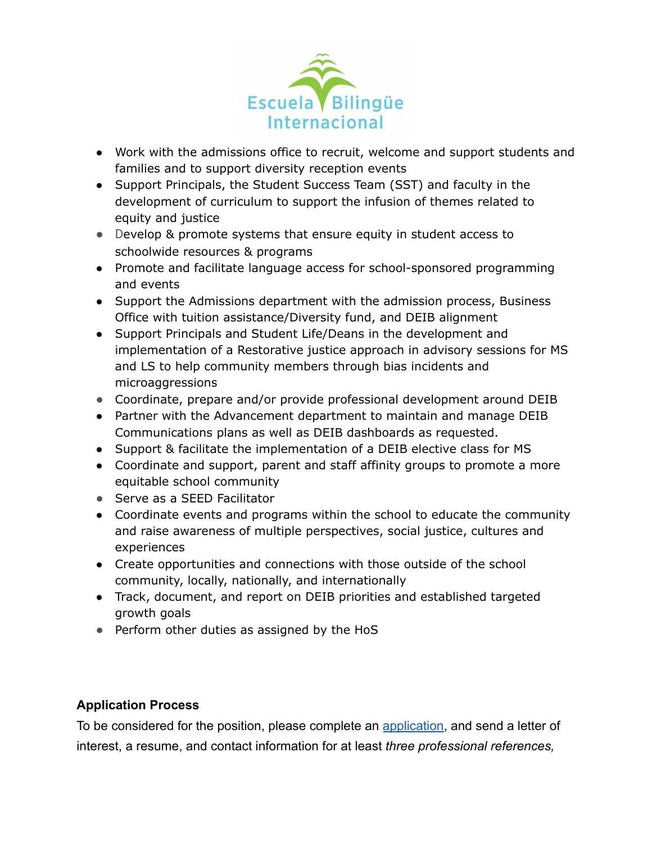

- Work with the admissions office to recruit, welcome and support students and families and to support diversity reception events
- Support Principals, the Student Success Team (SST) and faculty in the development of curriculum to support the infusion of themes related to equity and justice
- Develop & promote systems that ensure equity in student access to schoolwide resources & programs
- Promote and facilitate language access for school-sponsored programming and events
- Support the Admissions department with the admission process, Business Office with tuition assistance/Diversity fund, and DEIB alignment
- Support Principals and Student Life/Deans in the development and implementation of a Restorative justice approach in advisory sessions for MS and LS to help community members through bias incidents and microaggressions
- Coordinate, prepare and/or provide professional development around DEIB
- Partner with the Advancement department to maintain and manage DEIB Communications plans as well as DEIB dashboards as requested.
- Support & facilitate the implementation of a DEIB elective class for MS
- Coordinate and support, parent and staff affinity groups to promote a more equitable school community
- Serve as a SEED Facilitator
- Coordinate events and programs within the school to educate the community and raise awareness of multiple perspectives, social justice, cultures and experiences
- Create opportunities and connections with those outside of the school community, locally, nationally, and internationally
- Track, document, and report on DEIB priorities and established targeted growth goals
- Perform other duties as assigned by the HoS

## **Application Process**

To be considered for the position, please complete an [application,](https://www.ebinternacional.org/sites/default/files/EMPLOYMENT%20APPLICATION_11_25%20%281%29.pdf) and send a letter of interest, a resume, and contact information for at least *three professional references,*